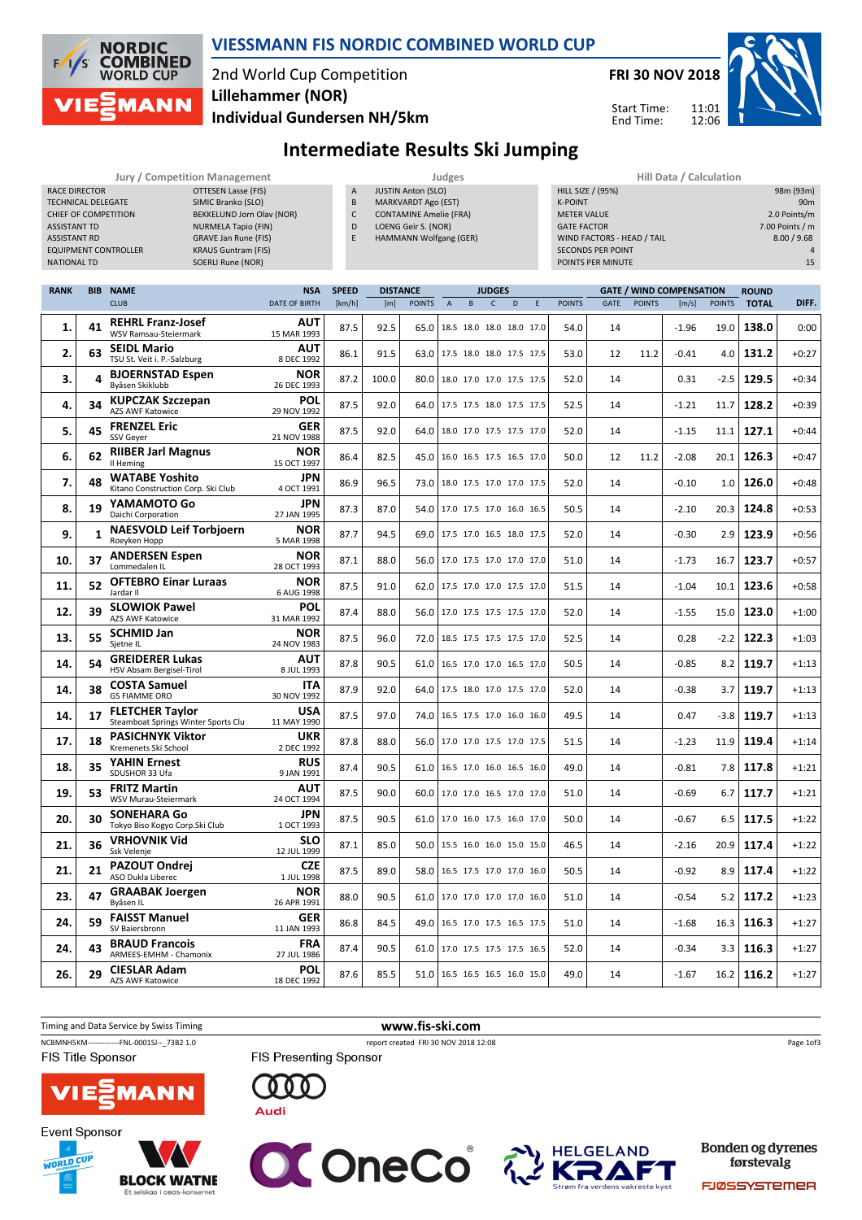

### VIESSMANN FIS NORDIC COMBINED WORLD CUP

# 2nd World Cup Competition Individual Gundersen NH/5km Lillehammer (NOR)



Start Time: End Time:

11:01 12:06



# Intermediate Results Ski Jumping

|                                                                                                                |            | <b>Jury / Competition Management</b>                        |                                                                                                                                                                                                      |                                    |                                  |                        |                                                                                                                                           | Judges         |                          |                               |   |   |                                                                                        |                                                                             |               | Hill Data / Calculation                  |               |                              |                                                                                      |
|----------------------------------------------------------------------------------------------------------------|------------|-------------------------------------------------------------|------------------------------------------------------------------------------------------------------------------------------------------------------------------------------------------------------|------------------------------------|----------------------------------|------------------------|-------------------------------------------------------------------------------------------------------------------------------------------|----------------|--------------------------|-------------------------------|---|---|----------------------------------------------------------------------------------------|-----------------------------------------------------------------------------|---------------|------------------------------------------|---------------|------------------------------|--------------------------------------------------------------------------------------|
| <b>RACE DIRECTOR</b><br><b>TECHNICAL DELEGATE</b><br>ASSISTANT TD<br><b>ASSISTANT RD</b><br><b>NATIONAL TD</b> |            | <b>CHIEF OF COMPETITION</b><br><b>EQUIPMENT CONTROLLER</b>  | <b>OTTESEN Lasse (FIS)</b><br>SIMIC Branko (SLO)<br>BEKKELUND Jorn Olav (NOR)<br><b>NURMELA Tapio (FIN)</b><br><b>GRAVE Jan Rune (FIS)</b><br><b>KRAUS Guntram (FIS)</b><br><b>SOERLI Rune (NOR)</b> |                                    | A<br>B<br>$\mathsf{C}$<br>D<br>E |                        | <b>JUSTIN Anton (SLO)</b><br><b>MARKVARDT Ago (EST)</b><br><b>CONTAMINE Amelie (FRA)</b><br>LOENG Geir S. (NOR)<br>HAMMANN Wolfgang (GER) |                |                          |                               |   |   | <b>HILL SIZE / (95%)</b><br><b>K-POINT</b><br><b>METER VALUE</b><br><b>GATE FACTOR</b> | WIND FACTORS - HEAD / TAIL<br><b>SECONDS PER POINT</b><br>POINTS PER MINUTE |               |                                          |               |                              | 98m (93m)<br>90 <sub>m</sub><br>2.0 Points/m<br>7.00 Points / m<br>8.00 / 9.68<br>15 |
| <b>RANK</b>                                                                                                    | <b>BIB</b> | <b>NAME</b><br><b>CLUB</b>                                  |                                                                                                                                                                                                      | <b>NSA</b><br><b>DATE OF BIRTH</b> | <b>SPEED</b><br>[km/h]           | <b>DISTANCE</b><br>[m] | <b>POINTS</b>                                                                                                                             | $\overline{A}$ | B                        | <b>JUDGES</b><br>$\mathsf{C}$ | D | E | <b>POINTS</b>                                                                          | <b>GATE</b>                                                                 | <b>POINTS</b> | <b>GATE / WIND COMPENSATION</b><br>[m/s] | <b>POINTS</b> | <b>ROUND</b><br><b>TOTAL</b> | DIFF.                                                                                |
| 1.                                                                                                             | 41         | <b>REHRL Franz-Josef</b><br><b>WSV Ramsau-Steiermark</b>    |                                                                                                                                                                                                      | <b>AUT</b><br>15 MAR 1993          | 87.5                             | 92.5                   | 65.0                                                                                                                                      |                | 18.5 18.0 18.0 18.0 17.0 |                               |   |   | 54.0                                                                                   | 14                                                                          |               | $-1.96$                                  | 19.0          | 138.0                        | 0:00                                                                                 |
| 2.                                                                                                             | 63         | <b>SEIDL Mario</b><br>TSU St. Veit i. P.-Salzburg           |                                                                                                                                                                                                      | <b>AUT</b><br>8 DEC 1992           | 86.1                             | 91.5                   | 63.0 17.5 18.0 18.0 17.5 17.5                                                                                                             |                |                          |                               |   |   | 53.0                                                                                   | 12                                                                          | 11.2          | $-0.41$                                  | 4.0           | 131.2                        | $+0:27$                                                                              |
| 3.                                                                                                             |            | <b>BJOERNSTAD Espen</b><br>Byåsen Skiklubb                  |                                                                                                                                                                                                      | <b>NOR</b><br>26 DEC 1993          | 87.2                             | 100.0                  | 80.0   18.0 17.0 17.0 17.5 17.5                                                                                                           |                |                          |                               |   |   | 52.0                                                                                   | 14                                                                          |               | 0.31                                     | $-2.5$        | 129.5                        | $+0:34$                                                                              |
| 4.                                                                                                             | 34         | <b>KUPCZAK Szczepan</b><br><b>AZS AWF Katowice</b>          |                                                                                                                                                                                                      | POL<br>29 NOV 1992                 | 87.5                             | 92.0                   | 64.0   17.5 17.5 18.0 17.5 17.5                                                                                                           |                |                          |                               |   |   | 52.5                                                                                   | 14                                                                          |               | $-1.21$                                  | 11.7          | 128.2                        | $+0:39$                                                                              |
| 5.                                                                                                             | 45         | <b>FRENZEL Eric</b><br>SSV Geyer                            |                                                                                                                                                                                                      | <b>GER</b><br>21 NOV 1988          | 87.5                             | 92.0                   | 64.0                                                                                                                                      |                | 18.0 17.0 17.5 17.5 17.0 |                               |   |   | 52.0                                                                                   | 14                                                                          |               | $-1.15$                                  | 11.1          | 127.1                        | $+0:44$                                                                              |
| 6.                                                                                                             | 62         | <b>RIIBER Jarl Magnus</b><br>Il Heming                      |                                                                                                                                                                                                      | <b>NOR</b><br>15 OCT 1997          | 86.4                             | 82.5                   | 45.0                                                                                                                                      |                | 16.0 16.5 17.5 16.5 17.0 |                               |   |   | 50.0                                                                                   | 12                                                                          | 11.2          | $-2.08$                                  | 20.1          | 126.3                        | $+0:47$                                                                              |
| 7.                                                                                                             | 48         | <b>WATABE Yoshito</b><br>Kitano Construction Corp. Ski Club |                                                                                                                                                                                                      | <b>JPN</b><br>4 OCT 1991           | 86.9                             | 96.5                   | 73.0                                                                                                                                      |                | 18.0 17.5 17.0 17.0 17.5 |                               |   |   | 52.0                                                                                   | 14                                                                          |               | $-0.10$                                  | 1.0           | 126.0                        | $+0:48$                                                                              |
| 8.                                                                                                             | 19         | YAMAMOTO Go<br>Daichi Corporation                           |                                                                                                                                                                                                      | <b>JPN</b><br>27 JAN 1995          | 87.3                             | 87.0                   | 54.0                                                                                                                                      |                | 17.0 17.5 17.0 16.0 16.5 |                               |   |   | 50.5                                                                                   | 14                                                                          |               | -2.10                                    | 20.3          | 124.8                        | $+0:53$                                                                              |
| 9.                                                                                                             |            | <b>NAESVOLD Leif Torbjoern</b><br>Roeyken Hopp              |                                                                                                                                                                                                      | <b>NOR</b><br>5 MAR 1998           | 87.7                             | 94.5                   | 69.0 17.5 17.0 16.5 18.0 17.5                                                                                                             |                |                          |                               |   |   | 52.0                                                                                   | 14                                                                          |               | $-0.30$                                  | 2.9           | 123.9                        | $+0:56$                                                                              |
| 10.                                                                                                            | 37         | <b>ANDERSEN Espen</b><br>Lommedalen IL                      |                                                                                                                                                                                                      | <b>NOR</b><br>28 OCT 1993          | 87.1                             | 88.0                   | 56.0   17.0 17.5 17.0 17.0 17.0                                                                                                           |                |                          |                               |   |   | 51.0                                                                                   | 14                                                                          |               | $-1.73$                                  | 16.7          | 123.7                        | $+0:57$                                                                              |
| 11.                                                                                                            | 52         | <b>OFTEBRO Einar Luraas</b><br>Jardar II                    |                                                                                                                                                                                                      | <b>NOR</b><br>6 AUG 1998           | 87.5                             | 91.0                   | 62.0 17.5 17.0 17.0 17.5 17.0                                                                                                             |                |                          |                               |   |   | 51.5                                                                                   | 14                                                                          |               | $-1.04$                                  | 10.1          | 123.6                        | $+0:58$                                                                              |
| 12.                                                                                                            | 39         | <b>SLOWIOK Pawel</b><br><b>AZS AWF Katowice</b>             |                                                                                                                                                                                                      | <b>POL</b><br>31 MAR 1992          | 87.4                             | 88.0                   | 56.0 17.0 17.5 17.5 17.5 17.0                                                                                                             |                |                          |                               |   |   | 52.0                                                                                   | 14                                                                          |               | $-1.55$                                  | 15.0          | 123.0                        | $+1:00$                                                                              |
| 13.                                                                                                            | 55         | <b>SCHMID Jan</b><br>Sietne IL                              |                                                                                                                                                                                                      | <b>NOR</b><br>24 NOV 1983          | 87.5                             | 96.0                   | 72.0                                                                                                                                      |                | 18.5 17.5 17.5 17.5 17.0 |                               |   |   | 52.5                                                                                   | 14                                                                          |               | 0.28                                     | $-2.2$        | 122.3                        | $+1:03$                                                                              |
| 14.                                                                                                            | 54         | <b>GREIDERER Lukas</b><br>HSV Absam Bergisel-Tirol          |                                                                                                                                                                                                      | <b>AUT</b><br>8 JUL 1993           | 87.8                             | 90.5                   | 61.0   16.5 17.0 17.0 16.5 17.0                                                                                                           |                |                          |                               |   |   | 50.5                                                                                   | 14                                                                          |               | $-0.85$                                  |               | $8.2$ 119.7                  | $+1:13$                                                                              |

|       |    | Lommedalen II.                                                | 28 UCL 1993               |      |      |                                 |      |    |         |        |       |         |
|-------|----|---------------------------------------------------------------|---------------------------|------|------|---------------------------------|------|----|---------|--------|-------|---------|
| 11.   | 52 | <b>OFTEBRO Einar Luraas</b><br>Jardar II                      | <b>NOR</b><br>6 AUG 1998  | 87.5 | 91.0 | 62.0 17.5 17.0 17.0 17.5 17.0   | 51.5 | 14 | $-1.04$ | 10.1   | 123.6 | $+0:58$ |
| 12.   | 39 | <b>SLOWIOK Pawel</b><br><b>AZS AWF Katowice</b>               | <b>POL</b><br>31 MAR 1992 | 87.4 | 88.0 | 56.0   17.0 17.5 17.5 17.5 17.0 | 52.0 | 14 | $-1.55$ | 15.0   | 123.0 | $+1:00$ |
| 13.   | 55 | <b>SCHMID Jan</b><br>Sjetne IL                                | <b>NOR</b><br>24 NOV 1983 | 87.5 | 96.0 | 72.0 18.5 17.5 17.5 17.5 17.0   | 52.5 | 14 | 0.28    | $-2.2$ | 122.3 | $+1:03$ |
| 14. l | 54 | <b>GREIDERER Lukas</b><br>HSV Absam Bergisel-Tirol            | <b>AUT</b><br>8 JUL 1993  | 87.8 | 90.5 | 61.0 16.5 17.0 17.0 16.5 17.0   | 50.5 | 14 | $-0.85$ | 8.2    | 119.7 | $+1:13$ |
| 14.   | 38 | <b>COSTA Samuel</b><br><b>GS FIAMME ORO</b>                   | <b>ITA</b><br>30 NOV 1992 | 87.9 | 92.0 | 64.0   17.5 18.0 17.0 17.5 17.0 | 52.0 | 14 | $-0.38$ | 3.7    | 119.7 | $+1:13$ |
| 14.   | 17 | <b>FLETCHER Taylor</b><br>Steamboat Springs Winter Sports Clu | <b>USA</b><br>11 MAY 1990 | 87.5 | 97.0 | 74.0   16.5 17.5 17.0 16.0 16.0 | 49.5 | 14 | 0.47    | $-3.8$ | 119.7 | $+1:13$ |
| 17.   | 18 | <b>PASICHNYK Viktor</b><br>Kremenets Ski School               | <b>UKR</b><br>2 DEC 1992  | 87.8 | 88.0 | 56.0   17.0 17.0 17.5 17.0 17.5 | 51.5 | 14 | $-1.23$ | 11.9   | 119.4 | $+1:14$ |
| 18.   | 35 | <b>YAHIN Ernest</b><br>SDUSHOR 33 Ufa                         | <b>RUS</b><br>9 JAN 1991  | 87.4 | 90.5 | 61.0   16.5 17.0 16.0 16.5 16.0 | 49.0 | 14 | $-0.81$ | 7.8    | 117.8 | $+1:21$ |
| 19.   | 53 | <b>FRITZ Martin</b><br><b>WSV Murau-Steiermark</b>            | <b>AUT</b><br>24 OCT 1994 | 87.5 | 90.0 | 60.0 17.0 17.0 16.5 17.0 17.0   | 51.0 | 14 | $-0.69$ | 6.7    | 117.7 | $+1:21$ |
| 20.   | 30 | <b>SONEHARA Go</b><br>Tokyo Biso Kogyo Corp. Ski Club         | <b>JPN</b><br>1 OCT 1993  | 87.5 | 90.5 | 61.0   17.0 16.0 17.5 16.0 17.0 | 50.0 | 14 | $-0.67$ | 6.5    | 117.5 | $+1:22$ |
| 21.   | 36 | <b>VRHOVNIK Vid</b><br>Ssk Velenje                            | <b>SLO</b><br>12 JUL 1999 | 87.1 | 85.0 | 50.0   15.5 16.0 16.0 15.0 15.0 | 46.5 | 14 | $-2.16$ | 20.9   | 117.4 | $+1:22$ |
|       |    | <b>DAZOLIT Ondroi</b>                                         | <b>CZE</b>                |      |      |                                 |      |    |         |        |       |         |

| 41. | эυ | Ssk Velenje                                     | 12 JUL 1999               | 0/1.1 | 05.U I | 19.0 0.0 10.0 10.0 0.0 0.0 0.1  |  | 40.J | -4 | -2.10   |                  | 20.9 L L L G. 4 | $+1.22$ |
|-----|----|-------------------------------------------------|---------------------------|-------|--------|---------------------------------|--|------|----|---------|------------------|-----------------|---------|
| 21. | 21 | <b>PAZOUT Ondrej</b><br>ASO Dukla Liberec       | <b>CZE</b><br>1 JUL 1998  | 87.5  | 89.0   | 58.0   16.5 17.5 17.0 17.0 16.0 |  | 50.5 | 14 | $-0.92$ | 8.9 <sub>1</sub> | 117.4           | $+1:22$ |
| 23. | 47 | <b>GRAABAK Joergen</b><br>Bvåsen IL             | <b>NOR</b><br>26 APR 1991 | 88.0  | 90.5   | 61.0 17.0 17.0 17.0 17.0 16.0   |  | 51.0 | 14 | $-0.54$ | 5.2 <sub>1</sub> | 117.2           | $+1:23$ |
| 24. | 59 | <b>FAISST Manuel</b><br>SV Baiersbronn          | <b>GER</b><br>11 JAN 1993 | 86.8  | 84.5   | 49.0 16.5 17.0 17.5 16.5 17.5   |  | 51.0 | 14 | $-1.68$ | 16.3             | 116.3           | $+1:27$ |
| 24. | 43 | <b>BRAUD Francois</b><br>ARMEES-EMHM - Chamonix | <b>FRA</b><br>27 JUL 1986 | 87.4  | 90.5   | 61.0 17.0 17.5 17.5 17.5 16.5   |  | 52.0 | 14 | $-0.34$ | 3.3 <sub>1</sub> | 116.3           | $+1:27$ |
| 26. | 29 | <b>CIESLAR Adam</b><br><b>AZS AWF Katowice</b>  | <b>POL</b><br>18 DEC 1992 | 87.6  | 85.5   | 51.0   16.5 16.5 16.5 16.0 15.0 |  | 49.0 | 14 | $-1.67$ | 16.2             | 116.2           | $+1:27$ |
|     |    |                                                 |                           |       |        |                                 |  |      |    |         |                  |                 |         |





14.







**Bonden og dyrenes** førstevalg

**FJØSSYSTEMER**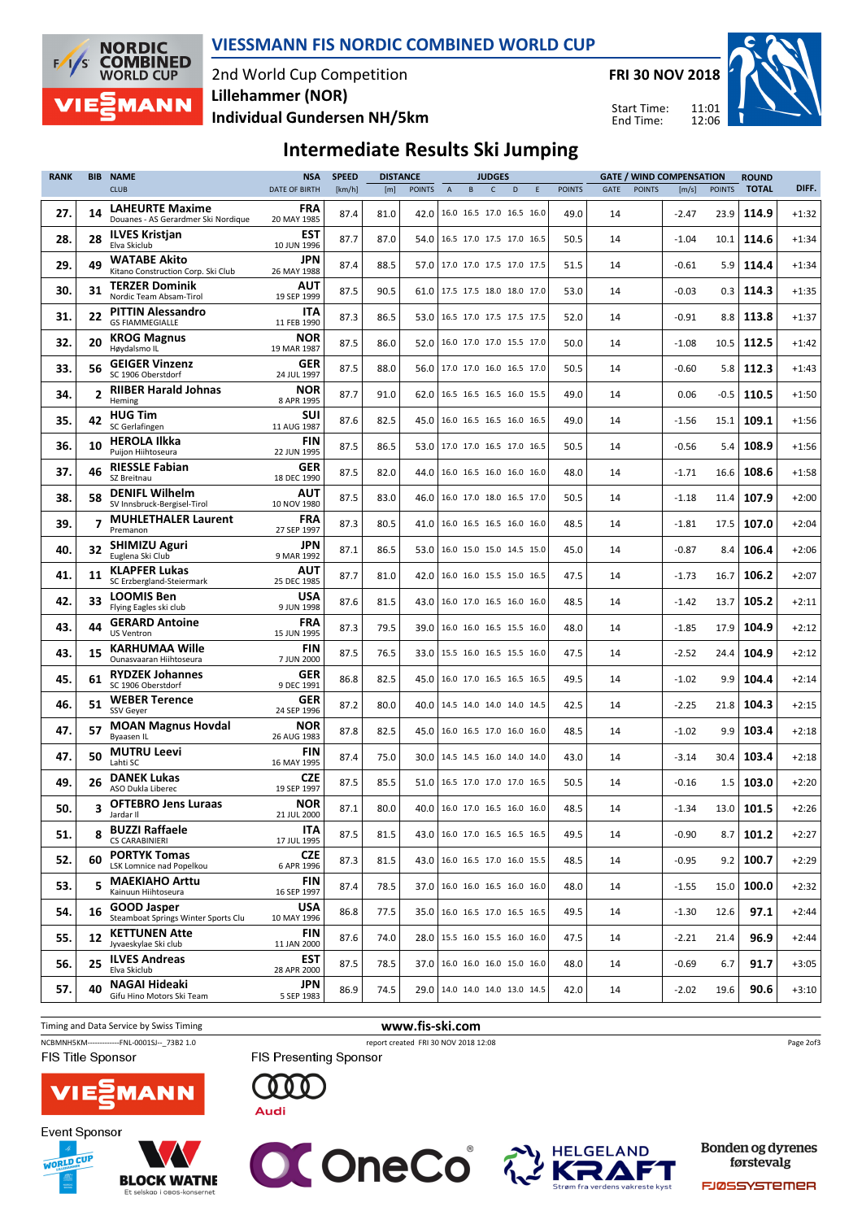

VIESSMANN FIS NORDIC COMBINED WORLD CUP

2nd World Cup Competition Individual Gundersen NH/5km Lillehammer (NOR)

FRI 30 NOV 2018

Start Time: End Time:



# Intermediate Results Ski Jumping

| <b>RANK</b> | <b>BIB</b>     | <b>NAME</b>                                                   | <b>NSA</b>                | <b>SPEED</b> | <b>DISTANCE</b> |               |                                 | <b>JUDGES</b> |   |   |               |      |               | <b>GATE / WIND COMPENSATION</b> |                  | <b>ROUND</b> |         |
|-------------|----------------|---------------------------------------------------------------|---------------------------|--------------|-----------------|---------------|---------------------------------|---------------|---|---|---------------|------|---------------|---------------------------------|------------------|--------------|---------|
|             |                | <b>CLUB</b>                                                   | <b>DATE OF BIRTH</b>      | [km/h]       | [m]             | <b>POINTS</b> | $\overline{A}$<br>B             | $\mathsf{C}$  | D | E | <b>POINTS</b> | GATE | <b>POINTS</b> | [m/s]                           | <b>POINTS</b>    | <b>TOTAL</b> | DIFF.   |
| 27.         | 14             | <b>LAHEURTE Maxime</b><br>Douanes - AS Gerardmer Ski Nordique | <b>FRA</b><br>20 MAY 1985 | 87.4         | 81.0            | 42.0          | 16.0 16.5 17.0 16.5 16.0        |               |   |   | 49.0          | 14   |               | $-2.47$                         | 23.9             | 114.9        | $+1:32$ |
| 28.         | 28             | <b>ILVES Kristjan</b><br>Elva Skiclub                         | <b>EST</b><br>10 JUN 1996 | 87.7         | 87.0            | 54.0          | 16.5 17.0 17.5 17.0 16.5        |               |   |   | 50.5          | 14   |               | $-1.04$                         | 10.1             | 114.6        | $+1:34$ |
| 29.         | 49             | <b>WATABE Akito</b><br>Kitano Construction Corp. Ski Club     | JPN<br>26 MAY 1988        | 87.4         | 88.5            | 57.0          | 17.0 17.0 17.5 17.0 17.5        |               |   |   | 51.5          | 14   |               | $-0.61$                         | 5.9              | 114.4        | $+1:34$ |
| 30.         | 31             | <b>TERZER Dominik</b><br>Nordic Team Absam-Tirol              | AUT<br>19 SEP 1999        | 87.5         | 90.5            | 61.0          | 17.5 17.5 18.0 18.0 17.0        |               |   |   | 53.0          | 14   |               | $-0.03$                         | 0.3              | 114.3        | $+1:35$ |
| 31.         | 22             | <b>PITTIN Alessandro</b><br><b>GS FIAMMEGIALLE</b>            | <b>ITA</b><br>11 FEB 1990 | 87.3         | 86.5            | 53.0          | 16.5 17.0 17.5 17.5 17.5        |               |   |   | 52.0          | 14   |               | -0.91                           | 8.8              | 113.8        | $+1:37$ |
| 32.         | 20             | <b>KROG Magnus</b><br>Høydalsmo IL                            | <b>NOR</b><br>19 MAR 1987 | 87.5         | 86.0            | 52.0          | 16.0 17.0 17.0 15.5 17.0        |               |   |   | 50.0          | 14   |               | $-1.08$                         | 10.5             | 112.5        | $+1:42$ |
| 33.         | 56             | <b>GEIGER Vinzenz</b><br>SC 1906 Oberstdorf                   | <b>GER</b><br>24 JUL 1997 | 87.5         | 88.0            | 56.0          | 17.0 17.0 16.0 16.5 17.0        |               |   |   | 50.5          | 14   |               | $-0.60$                         | 5.8              | 112.3        | $+1:43$ |
| 34.         | $\overline{2}$ | <b>RIIBER Harald Johnas</b><br>Heming                         | <b>NOR</b><br>8 APR 1995  | 87.7         | 91.0            | 62.0          | 16.5 16.5 16.5 16.0 15.5        |               |   |   | 49.0          | 14   |               | 0.06                            | $-0.5$           | 110.5        | $+1:50$ |
| 35.         | 42             | <b>HUG Tim</b><br>SC Gerlafingen                              | <b>SUI</b><br>11 AUG 1987 | 87.6         | 82.5            | 45.0          | 16.0 16.5 16.5 16.0 16.5        |               |   |   | 49.0          | 14   |               | -1.56                           | 15.1             | 109.1        | $+1:56$ |
| 36.         | 10             | <b>HEROLA Ilkka</b><br>Puijon Hiihtoseura                     | <b>FIN</b><br>22 JUN 1995 | 87.5         | 86.5            | 53.0          | 17.0 17.0 16.5 17.0 16.5        |               |   |   | 50.5          | 14   |               | $-0.56$                         | 5.4              | 108.9        | $+1:56$ |
| 37.         | 46             | <b>RIESSLE Fabian</b><br>SZ Breitnau                          | GER<br>18 DEC 1990        | 87.5         | 82.0            | 44.0          | 16.0 16.5 16.0 16.0 16.0        |               |   |   | 48.0          | 14   |               | $-1.71$                         | 16.6             | 108.6        | $+1:58$ |
| 38.         | 58             | <b>DENIFL Wilhelm</b><br>SV Innsbruck-Bergisel-Tirol          | AUT<br>10 NOV 1980        | 87.5         | 83.0            | 46.0          | 16.0 17.0 18.0 16.5 17.0        |               |   |   | 50.5          | 14   |               | $-1.18$                         | 11.4             | 107.9        | $+2:00$ |
| 39.         |                | <b>MUHLETHALER Laurent</b><br>Premanon                        | <b>FRA</b><br>27 SEP 1997 | 87.3         | 80.5            | 41.0          | 16.0 16.5 16.5 16.0 16.0        |               |   |   | 48.5          | 14   |               | $-1.81$                         | 17.5             | 107.0        | $+2:04$ |
| 40.         | 32             | <b>SHIMIZU Aguri</b><br>Euglena Ski Club                      | JPN<br>9 MAR 1992         | 87.1         | 86.5            | 53.0          | 16.0 15.0 15.0 14.5 15.0        |               |   |   | 45.0          | 14   |               | $-0.87$                         | 8.4              | 106.4        | $+2:06$ |
| 41.         | 11             | <b>KLAPFER Lukas</b><br>SC Erzbergland-Steiermark             | AUT<br>25 DEC 1985        | 87.7         | 81.0            | 42.0          | 16.0 16.0 15.5 15.0 16.5        |               |   |   | 47.5          | 14   |               | $-1.73$                         | 16.7             | 106.2        | $+2:07$ |
| 42.         | 33             | <b>LOOMIS Ben</b><br>Flying Eagles ski club                   | <b>USA</b><br>9 JUN 1998  | 87.6         | 81.5            | 43.0          | 16.0 17.0 16.5 16.0 16.0        |               |   |   | 48.5          | 14   |               | $-1.42$                         | 13.7             | 105.2        | $+2:11$ |
| 43.         | 44             | <b>GERARD Antoine</b><br><b>US Ventron</b>                    | <b>FRA</b><br>15 JUN 1995 | 87.3         | 79.5            | 39.0          | 16.0 16.0 16.5 15.5 16.0        |               |   |   | 48.0          | 14   |               | $-1.85$                         | 17.9             | 104.9        | $+2:12$ |
| 43.         | 15             | <b>KARHUMAA Wille</b><br>Ounasvaaran Hiihtoseura              | <b>FIN</b><br>7 JUN 2000  | 87.5         | 76.5            | 33.0          | 15.5 16.0 16.5 15.5 16.0        |               |   |   | 47.5          | 14   |               | $-2.52$                         | 24.4             | 104.9        | $+2:12$ |
| 45.         | 61             | <b>RYDZEK Johannes</b><br>SC 1906 Oberstdorf                  | <b>GER</b><br>9 DEC 1991  | 86.8         | 82.5            | 45.0          | 16.0 17.0 16.5 16.5 16.5        |               |   |   | 49.5          | 14   |               | $-1.02$                         | 9.9              | 104.4        | $+2:14$ |
| 46.         | 51             | <b>WEBER Terence</b><br><b>SSV Geyer</b>                      | GER<br>24 SEP 1996        | 87.2         | 80.0            | 40.0          | 14.5 14.0 14.0 14.0 14.5        |               |   |   | 42.5          | 14   |               | $-2.25$                         | 21.8             | 104.3        | $+2:15$ |
| 47.         | 57             | <b>MOAN Magnus Hovdal</b><br>Byaasen IL                       | <b>NOR</b><br>26 AUG 1983 | 87.8         | 82.5            | 45.0          | 16.0 16.5 17.0 16.0 16.0        |               |   |   | 48.5          | 14   |               | $-1.02$                         | 9.9              | 103.4        | $+2:18$ |
| 47.         | 50             | <b>MUTRU Leevi</b><br>Lahti SC                                | <b>FIN</b><br>16 MAY 1995 | 87.4         | 75.0            | 30.0          | 14.5 14.5 16.0 14.0 14.0        |               |   |   | 43.0          | 14   |               | $-3.14$                         | 30.4             | 103.4        | $+2:18$ |
| 49.         | 26             | <b>DANEK Lukas</b><br>ASO Dukla Liberec                       | <b>CZE</b><br>19 SEP 1997 | 87.5         | 85.5            | 51.0          | 16.5 17.0 17.0 17.0 16.5        |               |   |   | 50.5          | 14   |               | $-0.16$                         | 1.5              | 103.0        | $+2:20$ |
| 50.         | 3              | <b>OFTEBRO Jens Luraas</b><br>Jardar II                       | <b>NOR</b><br>21 JUL 2000 | 87.1         | 80.0            | 40.0          | 16.0 17.0 16.5 16.0 16.0        |               |   |   | 48.5          | 14   |               | $-1.34$                         | 13.0             | 101.5        | $+2:26$ |
| 51.         | 8              | <b>BUZZI Raffaele</b><br><b>CS CARABINIERI</b>                | <b>ITA</b><br>17 JUL 1995 | 87.5         | 81.5            |               | 43.0   16.0 17.0 16.5 16.5 16.5 |               |   |   | 49.5          | 14   |               | $-0.90$                         | 8.7 <sub>1</sub> | 101.2        | $+2:27$ |
| 52.         | 60             | <b>PORTYK Tomas</b><br>LSK Lomnice nad Popelkou               | <b>CZE</b><br>6 APR 1996  | 87.3         | 81.5            | 43.0          | 16.0 16.5 17.0 16.0 15.5        |               |   |   | 48.5          | 14   |               | $-0.95$                         | 9.2              | 100.7        | $+2:29$ |
| 53.         | 5              | <b>MAEKIAHO Arttu</b><br>Kainuun Hiihtoseura                  | FIN<br>16 SEP 1997        | 87.4         | 78.5            |               | 37.0   16.0 16.0 16.5 16.0 16.0 |               |   |   | 48.0          | 14   |               | $-1.55$                         | 15.0             | 100.0        | $+2:32$ |
| 54.         | 16             | <b>GOOD Jasper</b><br>Steamboat Springs Winter Sports Clu     | <b>USA</b><br>10 MAY 1996 | 86.8         | 77.5            |               | 35.0   16.0 16.5 17.0 16.5 16.5 |               |   |   | 49.5          | 14   |               | $-1.30$                         | 12.6             | 97.1         | $+2:44$ |
| 55.         | 12             | <b>KETTUNEN Atte</b><br>Jyvaeskylae Ski club                  | <b>FIN</b><br>11 JAN 2000 | 87.6         | 74.0            |               | 28.0   15.5 16.0 15.5 16.0 16.0 |               |   |   | 47.5          | 14   |               | $-2.21$                         | 21.4             | 96.9         | $+2:44$ |
| 56.         | 25             | <b>ILVES Andreas</b><br>Elva Skiclub                          | <b>EST</b><br>28 APR 2000 | 87.5         | 78.5            |               | 37.0   16.0 16.0 16.0 15.0 16.0 |               |   |   | 48.0          | 14   |               | -0.69                           | 6.7              | 91.7         | $+3:05$ |
| 57.         | 40             | <b>NAGAI Hideaki</b><br>Gifu Hino Motors Ski Team             | JPN<br>5 SEP 1983         | 86.9         | 74.5            |               | 29.0   14.0 14.0 14.0 13.0 14.5 |               |   |   | 42.0          | 14   |               | $-2.02$                         | 19.6             | 90.6         | $+3:10$ |

Timing and Data Service by Swiss Timing **www.fis-ski.com** NCBMNH5KM---------------FNL-0001SJ--\_73B2 1.0 report created FRI 30 NOV 2018 12:08 FIS Title Sponsor

Page 2of3



**BLOCK WATNE** 

Et selskap i OBOS-

**Event Sponsor** 

WORLD CUP

FIS Presenting Sponsor







Bonden og dyrenes førstevalg

FJØSSYSTEMER